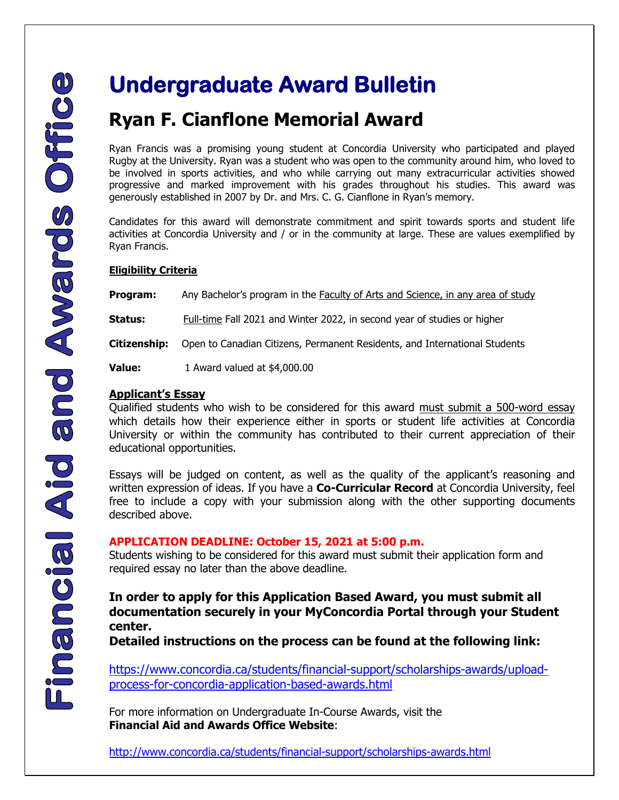# **Ryan F. Cianflone Memorial Award**

Ryan Francis was a promising young student at Concordia University who participated and played Rugby at the University. Ryan was a student who was open to the community around him, who loved to be involved in sports activities, and who while carrying out many extracurricular activities showed progressive and marked improvement with his grades throughout his studies. This award was generously established in 2007 by Dr. and Mrs. C. G. Cianflone in Ryan's memory.

Candidates for this award will demonstrate commitment and spirit towards sports and student life activities at Concordia University and / or in the community at large. These are values exemplified by Ryan Francis.

## **Eligibility Criteria**

**Program:** Any Bachelor's program in the **Faculty of Arts and Science**, in any area of study

**Status:** Full-time Fall 2021 and Winter 2022, in second year of studies or higher

**Citizenship:** Open to Canadian Citizens, Permanent Residents, and International Students

**Value:** 1 Award valued at \$4,000.00

## **Applicant's Essay**

Qualified students who wish to be considered for this award must submit a 500-word essay which details how their experience either in sports or student life activities at Concordia University or within the community has contributed to their current appreciation of their educational opportunities.

Essays will be judged on content, as well as the quality of the applicant's reasoning and written expression of ideas. If you have a **Co-Curricular Record** at Concordia University, feel free to include a copy with your submission along with the other supporting documents described above.

## **APPLICATION DEADLINE: October 15, 2021 at 5:00 p.m.**

Students wishing to be considered for this award must submit their application form and required essay no later than the above deadline.

**In order to apply for this Application Based Award, you must submit all documentation securely in your MyConcordia Portal through your Student center.** 

**Detailed instructions on the process can be found at the following link:** 

[https://www.concordia.ca/students/financial-support/scholarships-awards/upload](https://www.concordia.ca/students/financial-support/scholarships-awards/upload-process-for-concordia-application-based-awards.html)[process-for-concordia-application-based-awards.html](https://www.concordia.ca/students/financial-support/scholarships-awards/upload-process-for-concordia-application-based-awards.html)

For more information on Undergraduate In-Course Awards, visit the **Financial Aid and Awards Office Website**:

<http://www.concordia.ca/students/financial-support/scholarships-awards.html>